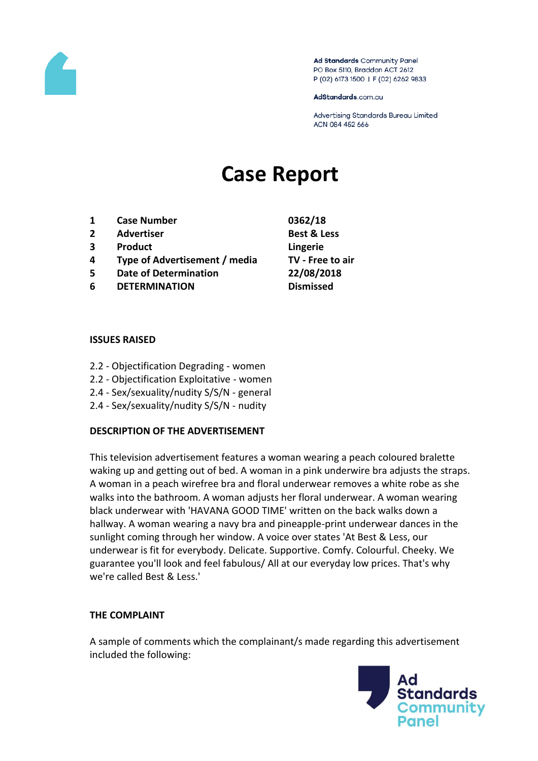

Ad Standards Community Panel PO Box 5110, Braddon ACT 2612 P (02) 6173 1500 | F (02) 6262 9833

AdStandards.com.au

Advertising Standards Bureau Limited ACN 084 452 666

# **Case Report**

- **1 Case Number 0362/18**
- **2 Advertiser Best & Less**
- **3 Product Lingerie**
- **4 Type of Advertisement / media TV - Free to air**
- **5 Date of Determination 22/08/2018**
- **6 DETERMINATION Dismissed**
- 

#### **ISSUES RAISED**

- 2.2 Objectification Degrading women
- 2.2 Objectification Exploitative women
- 2.4 Sex/sexuality/nudity S/S/N general
- 2.4 Sex/sexuality/nudity S/S/N nudity

#### **DESCRIPTION OF THE ADVERTISEMENT**

This television advertisement features a woman wearing a peach coloured bralette waking up and getting out of bed. A woman in a pink underwire bra adjusts the straps. A woman in a peach wirefree bra and floral underwear removes a white robe as she walks into the bathroom. A woman adjusts her floral underwear. A woman wearing black underwear with 'HAVANA GOOD TIME' written on the back walks down a hallway. A woman wearing a navy bra and pineapple-print underwear dances in the sunlight coming through her window. A voice over states 'At Best & Less, our underwear is fit for everybody. Delicate. Supportive. Comfy. Colourful. Cheeky. We guarantee you'll look and feel fabulous/ All at our everyday low prices. That's why we're called Best & Less.'

#### **THE COMPLAINT**

A sample of comments which the complainant/s made regarding this advertisement included the following:

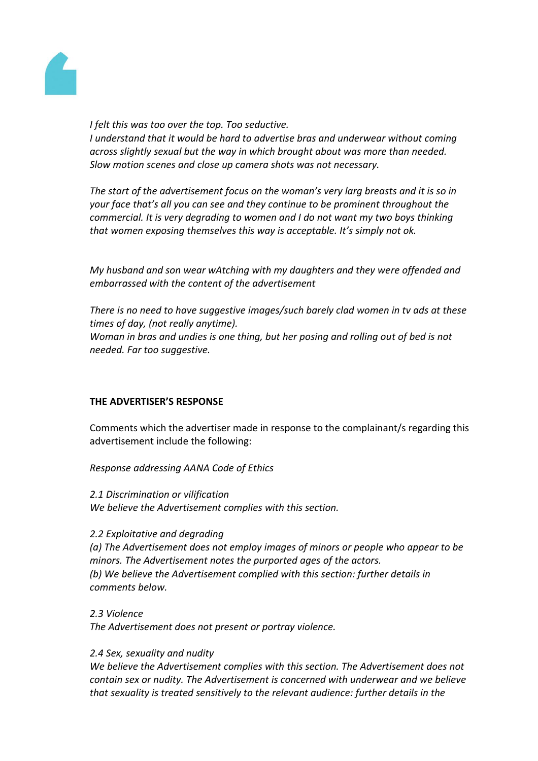

#### *I felt this was too over the top. Too seductive.*

*I understand that it would be hard to advertise bras and underwear without coming across slightly sexual but the way in which brought about was more than needed. Slow motion scenes and close up camera shots was not necessary.*

*The start of the advertisement focus on the woman's very larg breasts and it is so in your face that's all you can see and they continue to be prominent throughout the commercial. It is very degrading to women and I do not want my two boys thinking that women exposing themselves this way is acceptable. It's simply not ok.*

*My husband and son wear wAtching with my daughters and they were offended and embarrassed with the content of the advertisement*

*There is no need to have suggestive images/such barely clad women in tv ads at these times of day, (not really anytime). Woman in bras and undies is one thing, but her posing and rolling out of bed is not needed. Far too suggestive.*

# **THE ADVERTISER'S RESPONSE**

Comments which the advertiser made in response to the complainant/s regarding this advertisement include the following:

#### *Response addressing AANA Code of Ethics*

*2.1 Discrimination or vilification We believe the Advertisement complies with this section.*

#### *2.2 Exploitative and degrading*

*(a) The Advertisement does not employ images of minors or people who appear to be minors. The Advertisement notes the purported ages of the actors. (b) We believe the Advertisement complied with this section: further details in comments below.*

*2.3 Violence*

*The Advertisement does not present or portray violence.*

#### *2.4 Sex, sexuality and nudity*

*We believe the Advertisement complies with this section. The Advertisement does not contain sex or nudity. The Advertisement is concerned with underwear and we believe that sexuality is treated sensitively to the relevant audience: further details in the*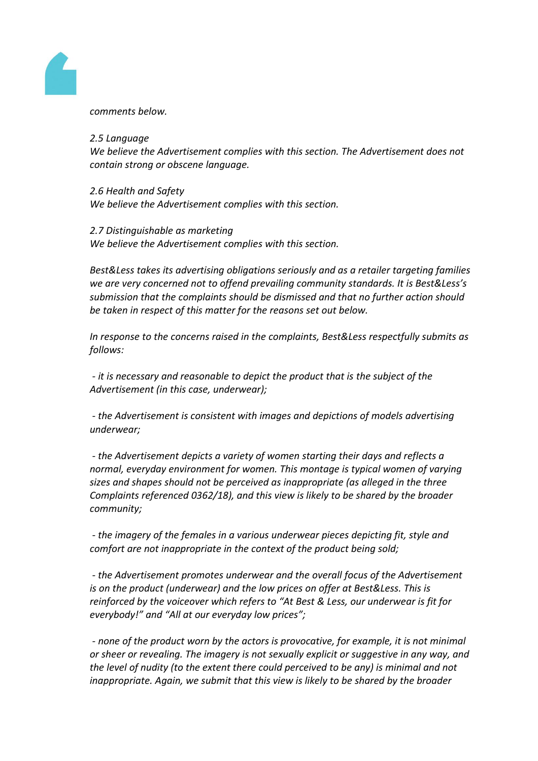

*comments below.*

## *2.5 Language*

*We believe the Advertisement complies with this section. The Advertisement does not contain strong or obscene language.*

*2.6 Health and Safety We believe the Advertisement complies with this section.*

*2.7 Distinguishable as marketing We believe the Advertisement complies with this section.*

*Best&Less takes its advertising obligations seriously and as a retailer targeting families we are very concerned not to offend prevailing community standards. It is Best&Less's submission that the complaints should be dismissed and that no further action should be taken in respect of this matter for the reasons set out below.*

*In response to the concerns raised in the complaints, Best&Less respectfully submits as follows:*

*- it is necessary and reasonable to depict the product that is the subject of the Advertisement (in this case, underwear);*

*- the Advertisement is consistent with images and depictions of models advertising underwear;*

*- the Advertisement depicts a variety of women starting their days and reflects a normal, everyday environment for women. This montage is typical women of varying sizes and shapes should not be perceived as inappropriate (as alleged in the three Complaints referenced 0362/18), and this view is likely to be shared by the broader community;*

*- the imagery of the females in a various underwear pieces depicting fit, style and comfort are not inappropriate in the context of the product being sold;*

*- the Advertisement promotes underwear and the overall focus of the Advertisement is on the product (underwear) and the low prices on offer at Best&Less. This is reinforced by the voiceover which refers to "At Best & Less, our underwear is fit for everybody!" and "All at our everyday low prices";*

*- none of the product worn by the actors is provocative, for example, it is not minimal or sheer or revealing. The imagery is not sexually explicit or suggestive in any way, and the level of nudity (to the extent there could perceived to be any) is minimal and not inappropriate. Again, we submit that this view is likely to be shared by the broader*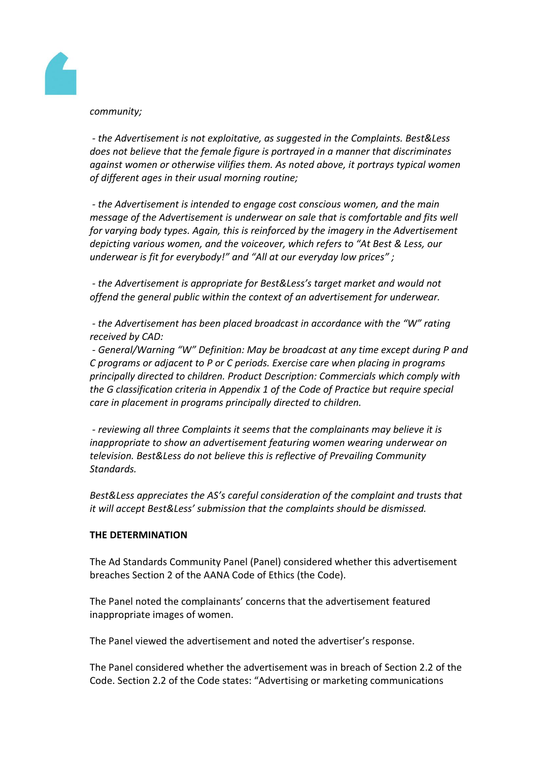## *community;*

*- the Advertisement is not exploitative, as suggested in the Complaints. Best&Less does not believe that the female figure is portrayed in a manner that discriminates against women or otherwise vilifies them. As noted above, it portrays typical women of different ages in their usual morning routine;*

*- the Advertisement is intended to engage cost conscious women, and the main message of the Advertisement is underwear on sale that is comfortable and fits well for varying body types. Again, this is reinforced by the imagery in the Advertisement depicting various women, and the voiceover, which refers to "At Best & Less, our underwear is fit for everybody!" and "All at our everyday low prices" ;*

*- the Advertisement is appropriate for Best&Less's target market and would not offend the general public within the context of an advertisement for underwear.*

*- the Advertisement has been placed broadcast in accordance with the "W" rating received by CAD:*

*- General/Warning "W" Definition: May be broadcast at any time except during P and C programs or adjacent to P or C periods. Exercise care when placing in programs principally directed to children. Product Description: Commercials which comply with the G classification criteria in Appendix 1 of the Code of Practice but require special care in placement in programs principally directed to children.*

*- reviewing all three Complaints it seems that the complainants may believe it is inappropriate to show an advertisement featuring women wearing underwear on television. Best&Less do not believe this is reflective of Prevailing Community Standards.*

*Best&Less appreciates the AS's careful consideration of the complaint and trusts that it will accept Best&Less' submission that the complaints should be dismissed.*

#### **THE DETERMINATION**

The Ad Standards Community Panel (Panel) considered whether this advertisement breaches Section 2 of the AANA Code of Ethics (the Code).

The Panel noted the complainants' concerns that the advertisement featured inappropriate images of women.

The Panel viewed the advertisement and noted the advertiser's response.

The Panel considered whether the advertisement was in breach of Section 2.2 of the Code. Section 2.2 of the Code states: "Advertising or marketing communications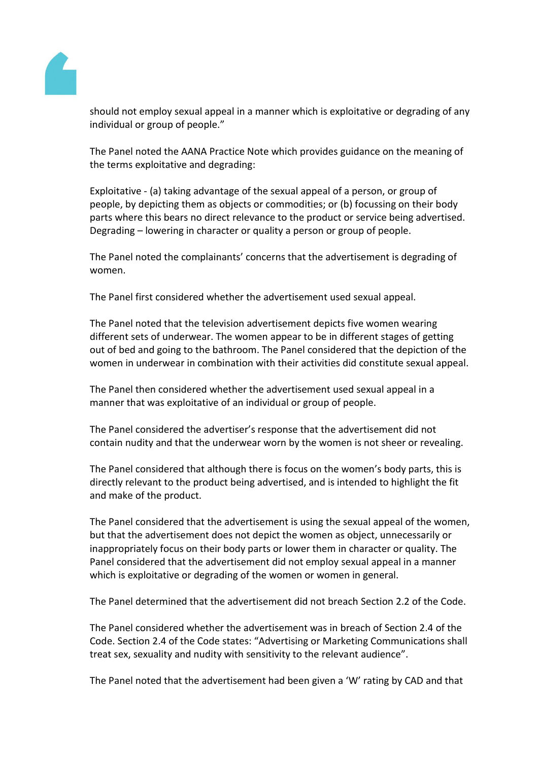

should not employ sexual appeal in a manner which is exploitative or degrading of any individual or group of people."

The Panel noted the AANA Practice Note which provides guidance on the meaning of the terms exploitative and degrading:

Exploitative - (a) taking advantage of the sexual appeal of a person, or group of people, by depicting them as objects or commodities; or (b) focussing on their body parts where this bears no direct relevance to the product or service being advertised. Degrading – lowering in character or quality a person or group of people.

The Panel noted the complainants' concerns that the advertisement is degrading of women.

The Panel first considered whether the advertisement used sexual appeal.

The Panel noted that the television advertisement depicts five women wearing different sets of underwear. The women appear to be in different stages of getting out of bed and going to the bathroom. The Panel considered that the depiction of the women in underwear in combination with their activities did constitute sexual appeal.

The Panel then considered whether the advertisement used sexual appeal in a manner that was exploitative of an individual or group of people.

The Panel considered the advertiser's response that the advertisement did not contain nudity and that the underwear worn by the women is not sheer or revealing.

The Panel considered that although there is focus on the women's body parts, this is directly relevant to the product being advertised, and is intended to highlight the fit and make of the product.

The Panel considered that the advertisement is using the sexual appeal of the women, but that the advertisement does not depict the women as object, unnecessarily or inappropriately focus on their body parts or lower them in character or quality. The Panel considered that the advertisement did not employ sexual appeal in a manner which is exploitative or degrading of the women or women in general.

The Panel determined that the advertisement did not breach Section 2.2 of the Code.

The Panel considered whether the advertisement was in breach of Section 2.4 of the Code. Section 2.4 of the Code states: "Advertising or Marketing Communications shall treat sex, sexuality and nudity with sensitivity to the relevant audience".

The Panel noted that the advertisement had been given a 'W' rating by CAD and that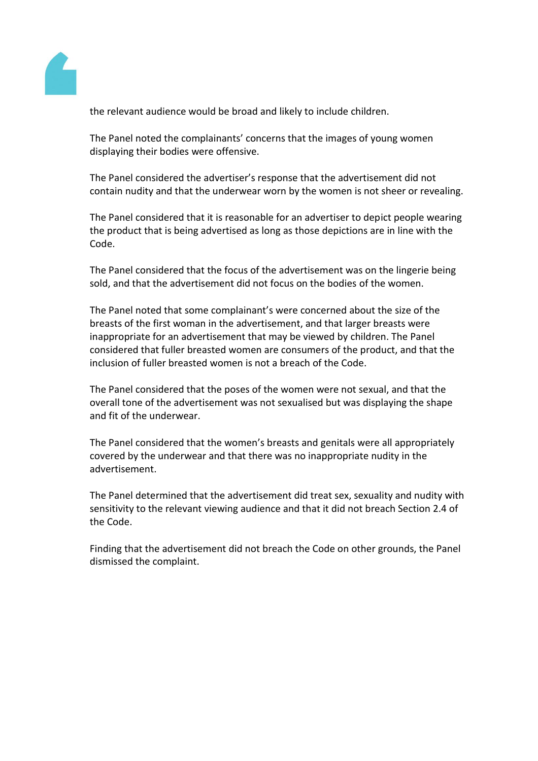

the relevant audience would be broad and likely to include children.

The Panel noted the complainants' concerns that the images of young women displaying their bodies were offensive.

The Panel considered the advertiser's response that the advertisement did not contain nudity and that the underwear worn by the women is not sheer or revealing.

The Panel considered that it is reasonable for an advertiser to depict people wearing the product that is being advertised as long as those depictions are in line with the Code.

The Panel considered that the focus of the advertisement was on the lingerie being sold, and that the advertisement did not focus on the bodies of the women.

The Panel noted that some complainant's were concerned about the size of the breasts of the first woman in the advertisement, and that larger breasts were inappropriate for an advertisement that may be viewed by children. The Panel considered that fuller breasted women are consumers of the product, and that the inclusion of fuller breasted women is not a breach of the Code.

The Panel considered that the poses of the women were not sexual, and that the overall tone of the advertisement was not sexualised but was displaying the shape and fit of the underwear.

The Panel considered that the women's breasts and genitals were all appropriately covered by the underwear and that there was no inappropriate nudity in the advertisement.

The Panel determined that the advertisement did treat sex, sexuality and nudity with sensitivity to the relevant viewing audience and that it did not breach Section 2.4 of the Code.

Finding that the advertisement did not breach the Code on other grounds, the Panel dismissed the complaint.